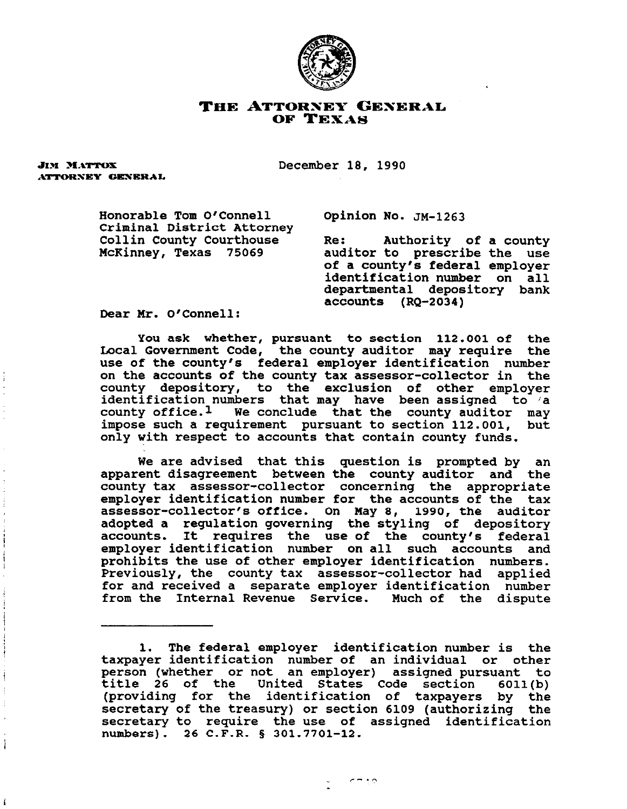

## THE ATTORNEY GENERAL OF TEXAS

**JIM MATTOX** ATTORNEY GENERAL

ŧ

December 18, 1990

Honorable Tom O'Connell Opinion No. **JM-1263**  Criminal District Attorney<br>Collin County Courthouse

Collin County Courthouse The: Authority of a county<br>McKinney, Texas 75069 auditor to prescribe the use auditor to prescribe the use of a county's federal employer identification number on all departmental depository bank accounts (RQ-2034)

Dear Mr. O'Connell:

you ask whether, pursuant to section 112.001 of the Local Government Code, the county auditor may require the use of the county's federal employer identification number on the accounts of the county tax assessor-collector in the county depository, to the exclusion of other employer identification **numbers** that may have been assigned to /a county office.<sup>1</sup> We conclude that the county auditor may impose such a requirement pursuant to section 112.001. but impose such a requirement pursuant to section  $112.001$ , only with respect to accounts that contain county funds.

We are advised that this question is prompted by an apparent disagreement between the county auditor and the county tax assessor-collector concerning the appropriate employer identification number for the accounts of the tax assessor-collector's office. On May 8, 1990, the auditor adopted a regulation governing the styling of depository accounts. It requires the use of the county's federal employer identification number on all such accounts and prohibits the use of other employer identification numbers. Previously, the county tax assessor-collector had applied for and received a separate employer identification number from the Internal Revenue Service. Much **of** the dispute

<sup>1.</sup> The federal employer identification number is the taxpayer identification number of an individual **or** other person (whether or not an employer) assigned pursuant to title 26 of the United States Code section 6011(b) (providing for the identification of taxpayers by the secretary of the treasury) or section 6109 (authorizing the secretary to require the use of assigned identification numbers). 26 C.F.R. 9 301.7701-12.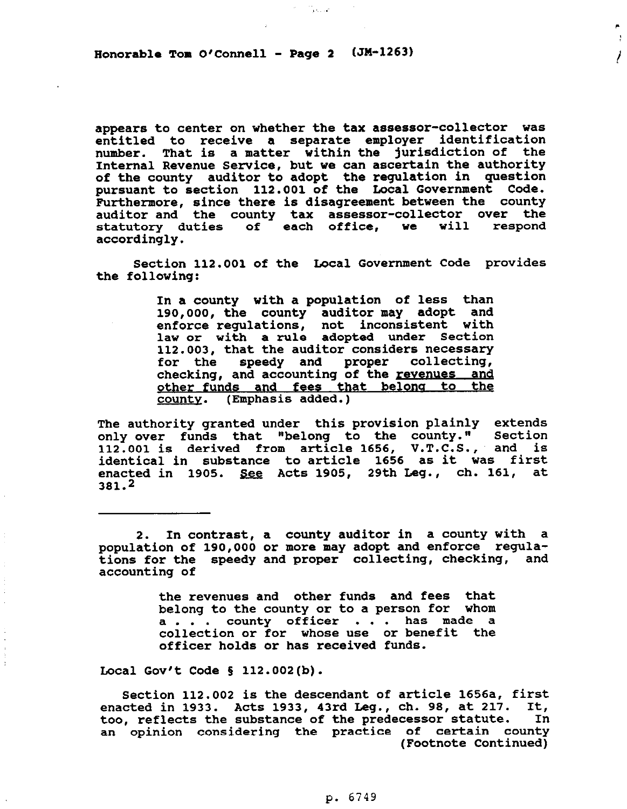Honorable Tom O'Connell - Page 2 (JM-1263)

appears to center on whether the tax assessor-collector **was**  entitled to receive a separate employer identification number. That is a matter within the jurisdiction of the Internal Revenue Service, but we **can** ascertain the authority of the county auditor to adopt the regulation in question pursuant to section 112.001 of the Local Government Code. Furthermore, since there is disagreement between the county auditor and the county tax assessor-collector over the statutory duties of each office, we will respond accordingly.

K. Charles

r,

 $\mathbf{y}$ 

!

Section 112.001 of the Local Government Code provides the following:

> In a county with a population of less than 190,000, the county auditor may adopt and enforce regulations, not inconsistent with law or with a rule adopted under Section 112.003, that the auditor considers necessary for the speedy and proper collecting, checking, and accounting of the revenues and <u>other funds and fees that belon</u> <u>county</u>. (Emphasis added.)

The authority granted under this provision plainly extends only over funds that "belong to the county." Section 112.001 is derived from article 1656, V.T.C.S., : and is identical in substance to article 1656 as it was first enacted in 1905. See Acts 1905, 29th Leg., ch. 161, at 381.2

2. In contrast, a county auditor in a county with a population of 190,000 or more may adopt and enforce regulations for the speedy and proper collecting, checking, and accounting of

> the revenues and other funds and fees that belong to the county or to a person **for** whom a.. . county officer . . . has made a collection or for whose use or benefit the officer holds or has received funds.

Local Gov't Code  $\S$  112.002(b).

 $\ddot{\downarrow}$  $\ddot{\phantom{0}}$ 

> Section 112.002 is the descendant of article 1656a, first enacted in 1933. Acts 1933, 43rd Leg., ch. 98, at 217. It,<br>too, reflects the substance of the predecessor statute. In too, reflects the substance of the predecessor statute. an opinion considering the practice of certain county (Footnote Continued)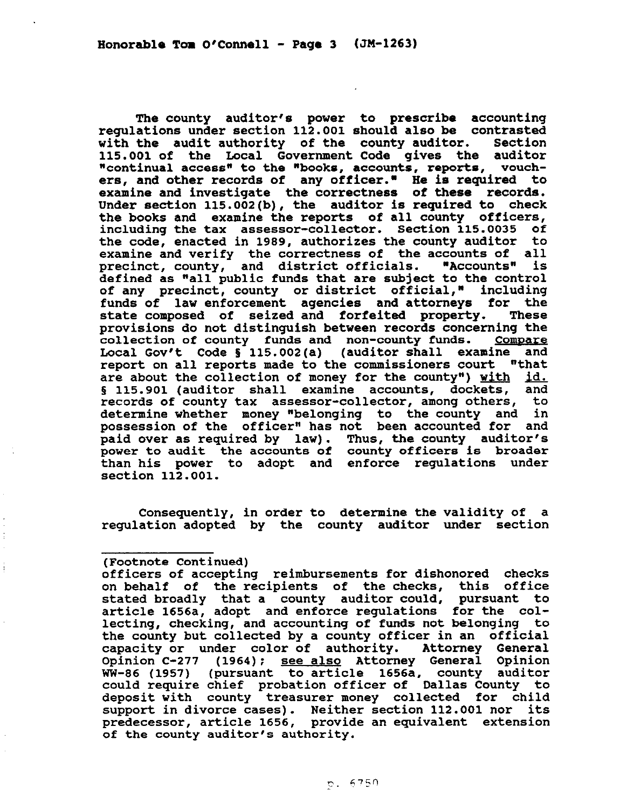The county auditor's power to prescribe accounting regulations under section 112.001 should also be contrasted with the audit authority of the county auditor. Section 115.001 of the Local Government Code gives the auditor "continual access" to the "books, accounts, reports, vouchers, and **other** records **of** any officer." He is required to examine and investigate the correctness of these records. Under section 115.002(b), the auditor is required to check the books and examine the reports of all county officers, including the tax assessor-collector. Section 115.0035 of the code, enacted in 1989, authorizes the county auditor to examine and verify the correctness of the accounts of all precinct, county, and district officials. "Accounts" is defined as "all public funds that are subject to the control of any precinct, county or district official," including funds of law enforcement *agencies* and attorneys for the state composed of seized and forfeited property. These provisions do not distinguish between records concerning the collection of county funds and non-county funds. Compare Local Gov't Code § 115.002(a) (auditor shall examine and report on all reports made to the commissioners court "that are about the collection of money for the county") with id. § 115.901 (auditor shall examine accounts, dockets, and records of county tax assessor-collector, among others, to determine whether **money** "belonging to the county and in possession of the officer" has not been accounted for and paid over as required by law). Thus, the county auditor's power to audit the accounts of county officers is broader than his power to adopt and enforce regulations under section 112.001.

Consequently, in order to determine the validity of a regulation adopted by the county auditor under section

## (Footnote Continued)

officers of accepting reimbursements for dishonored checks on behalf of the recipients of the checks, this office stated broadly that a county auditor could, pursuant to article 1656a, adopt and enforce regulations for the collecting, checking, and accounting of funds not belonging to the county but collected by a county officer in an official capacity or under color of authority. Attorney General Opinion C-277 (1964); see also Attorney General Opinion WW-86 (1957) (pursuant to article 1656a, county auditor could require chief probation officer of Dallas County to deposit with county treasurer money collected for child support in divorce cases). Neither section 112.001 nor its predecessor, article 1656, provide an equivalent extension of the county auditor's authority.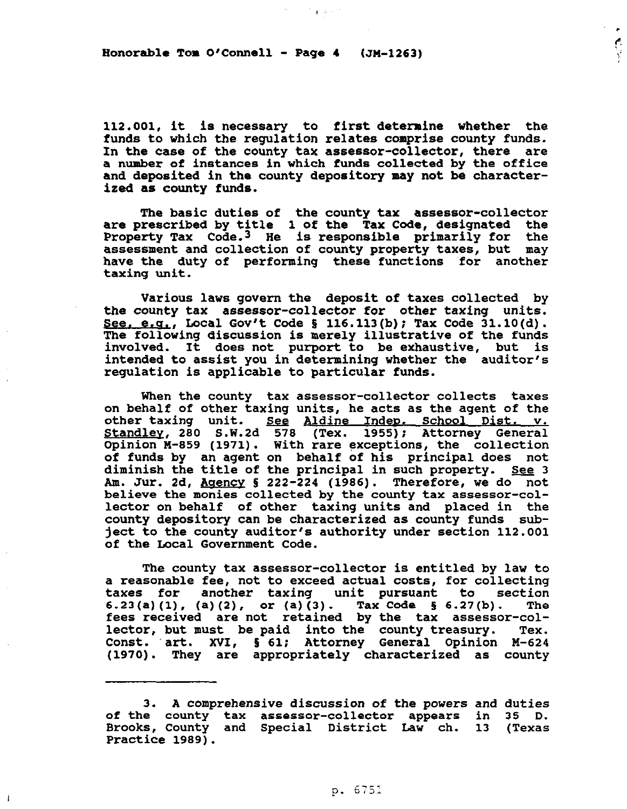Honorable Tom  $O'$  Connell - Page 4 (JM-1263)

112.001, it is necessary to first determine whether the funds to which the regulation relates comprise county funds. In the case of the county tax assessor-collector, there are a number of instances in which funds collected by the office and deposited in the county depository may not be characterized as county funds.

 $\mathcal{C}=\mathfrak{g}^{\mathbb{C}}$  ,  $\mathcal{C}=\mathcal{C}^{\mathbb{C}}$ 

The basic duties of the county tax assessor-collector are prescribed by title 1 of the Tax Code, designated the Property Tax Code.<sup>3</sup> He is responsible primarily for the assessment and collection of county property taxes, but may have the duty of performing these functions for another taxing unit.

Various laws govern the deposit of taxes collected by the county tax assessor-collector for other taxing units. See. e.g., Local Gov't Code § 116.113(b); Tax Code  $31.10(d)$ . The following discussion is merely illustrative of the funds involved. It does not purport to be exhaustive, but is intended to assist you in determining whether the auditor's regulation is applicable to particular funds.

When the county tax assessor-collector collects taxes on behalf of other taxing units, he acts as the agent of the other taxing unit. See Aldine Indep. <u>Standley</u>, 280 S.W.2d 578 (Tex. 1955); Attorney General Opinion M-859 (1971). With rare exceptions, the collection of funds by an agent on behalf of his principal does not diminish the title of the principal in such property. See  $3$ Am. Jur. 2d, Agency § 222-224 (1986). Therefore, we do not believe the monies collected by the county tax assessor-collector on behalf of other taxing units and placed in the county depository can be characterized as county funds subject to the county auditor's authority under section 112.001 of the Local Government Code.

The county tax assessor-collector is entitled by law to a reasonable fee, not to exceed actual costs, for collecting taxes for another taxing unit pursuant to section  $(4, 23(a)(1), (a)(2), \text{ or } (a)(3).$  Tax Code § 6.27(b). The fees received are not retained by the tax assessor-collector, but must be paid into the county treasury. Tex. Const. art. XVI, § 61; Attorney General Opinion M-624 (1970). They are appropriately characterized as county

-i

<sup>3.</sup> A comprehensive discussion of the powers and duties of the county tax assessor-collector appears in 35 D. Brooks, County and Special District Law ch. 13 (Texas Practice 1989).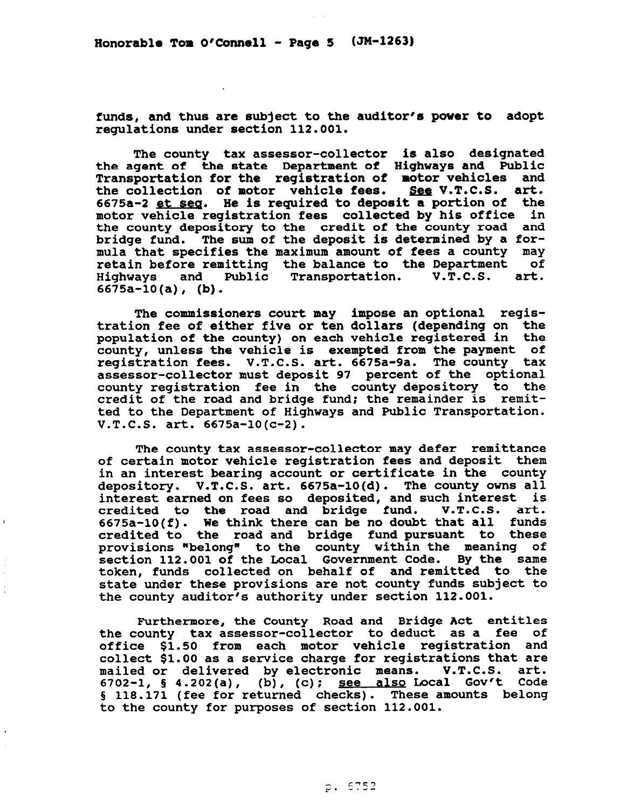funds, and thus are subject to the auditor's power to adopt regulations under section 112.001.

The county tax assessor-collector is also designated the agent of the state Department of Highways and public Transportation for the registration of motor vehicles and the collection of motor vehicle fees. See V.T.C.S. art. 6675a-2 et seq. He is required to deposit a portion of the motor vehicle registration fees collected by his office in the county depository to the credit of the county road and bridge fund. The sum of the deposit is determined by a formula that specifies the maximum amount of fees a county may<br>retain before remitting the balance to the Department of retain before remitting the balance to the Department of<br>Highways and Public Transportation. V.T.C.S. art. and Public Transportation. 6675a-10(a), (b).

The commissioners court may impose an optional registration **fee of** either five or ten dollars (depending on the population of the county) on each vehicle registered in the county, unless the vehicle is exempted from the payment of registration fees. V.T.C.S. art. 6675a-9a. The county tax assessor-collector must deposit 97 percent of the optional county registration fee in the county depository to the credit of the road and bridge fund; the remainder is remitted to the Department of Highways and Public Transportation. V.T.C.S. art. 6675a-lO(c-2).

The county tax assessor-collector may defer remittance of certain motor vehicle registration fees and deposit them in an interest bearing account or certificate in the county depository. V.T.C.S. art. 6675a-10(d). The county owns all interest earned on fees so deposited, and such interest is<br>credited to the road and bridge fund. V.T.C.S. art. credited to the road and bridge fund. V.T.C.S. art.<br>6675a-10(f). We think there can be no-doubt that all funds 6675a-10(f). We think there can be no doubt that all funds credited to the road and bridge fund pursuant to these provisions "belong" to the county within the meaning of section 112.001 of the Local Government Code. **same**  token, funds collected on behalf of and remitted to the state under these provisions are not county funds subject to the county auditor's authority under section 112.001.

Furthermore, the County Road and Bridge Act entitles the county tax assessor-collector to deduct as a fee of<br>office \$1.50 from each motor vehicle registration and office \$1.50 from each motor vehicle registration and collect \$1.00 as a service charge for registrations that are mailed or delivered by electronic means. V.T.C.S. art. 6702-1, § 4.202(a), (b), (c); see also Local Gov't Code § 118.171 (fee for returned checks). These amounts belong to the county for purposes of section 112.001.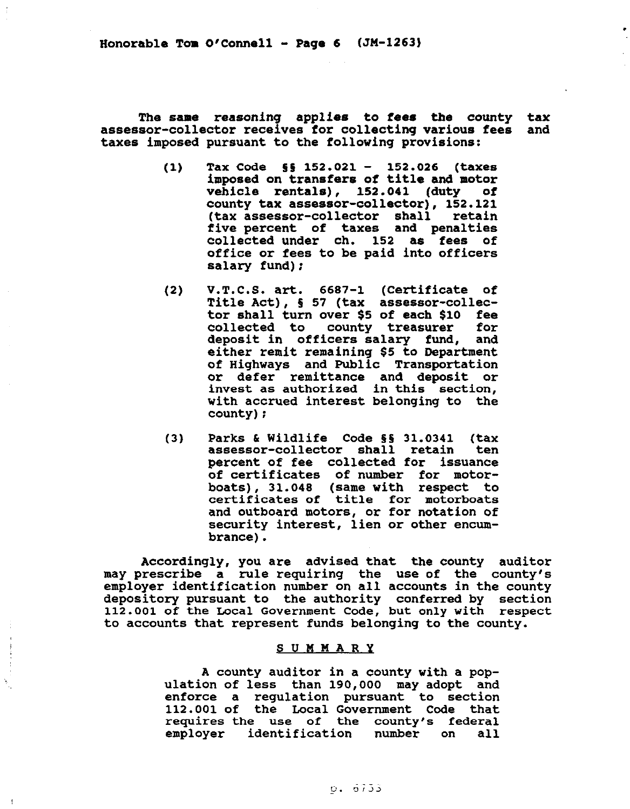Honorable Tom  $O'$ Connell - Page 6  $(JM-1263)$ 

The same reasoning applies to **fees** the county tax assessor-collector receives for collecting various fees taxes imposed pursuant to the following provisions:

- $(1)$  Tax Code  $\S$ § 152.021 152.026 (taxes imposed on transfers **of** title and motor vehicle rentals), 152.041 (duty of county tax assessor-collector), 152.121 (tax assessor-collector shall five percent of taxes and penalties collected under ch. 152 as fees of office or fees to be paid into officers salary fund):
- (2) V.T.C.S. art. 6687-l (Certificate of Title Act), 5 57 (tax assessor-collector shall turn over \$5 of each \$10 fee<br>collected to county treasurer for collected to county treasurer deposit in officers salary fund, and either remit remaining \$5 to Department of Highways and Public Transportation or defer remittance and deposit or invest as authorized in this section, with accrued interest belonging to the county):
- (3) Parks & Wildlife Code §§ 31.0341 (tax<br>assessor-collector shall retain ten assessor-collector shall retain percent of fee collected for issuance of certificates of number for motorboats), 31.048 (same with respect to certificates of title for motorboats and outboard motors, or for notation of security interest, lien or other encumbrance).

Accordingly, you are advised that the county auditor may prescribe a rule requiring the use of the county's employer identification number on all accounts in the county depository pursuant to the authority conferred by section 112.001 of the Local Government Code, but only with respect to accounts that represent funds belonging to the county.

## SUMMARY

A county auditor in a county vith a population of less than 190,000 may adopt and enforce a regulation pursuant to section 112.001 of the Local Government Code that requires the use of the county's federal employer identification number on all

 $\overline{\mathbf{r}}$